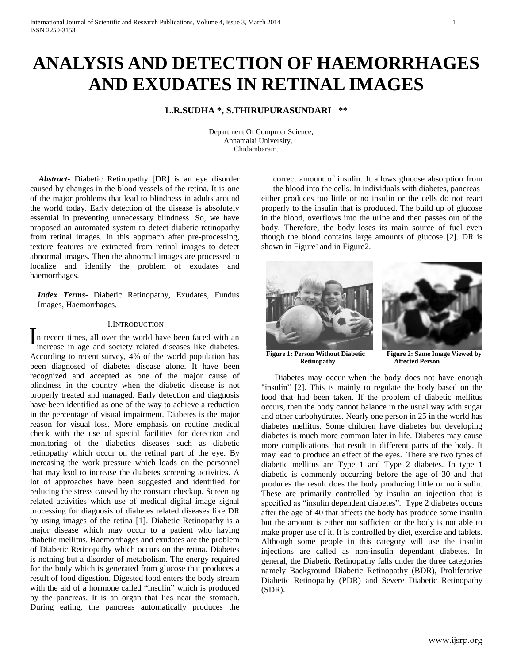# **ANALYSIS AND DETECTION OF HAEMORRHAGES AND EXUDATES IN RETINAL IMAGES**

# **L.R.SUDHA \*, S.THIRUPURASUNDARI \*\***

 Department Of Computer Science, Annamalai University, Chidambaram.

 *Abstract***-** Diabetic Retinopathy [DR] is an eye disorder caused by changes in the blood vessels of the retina. It is one of the major problems that lead to blindness in adults around the world today. Early detection of the disease is absolutely essential in preventing unnecessary blindness. So, we have proposed an automated system to detect diabetic retinopathy from retinal images. In this approach after pre-processing, texture features are extracted from retinal images to detect abnormal images. Then the abnormal images are processed to localize and identify the problem of exudates and haemorrhages.

*Index Terms*- Diabetic Retinopathy, Exudates, Fundus Images, Haemorrhages.

### I.INTRODUCTION

n recent times, all over the world have been faced with an increase in age and society related diseases like diabetes. According to recent survey, 4% of the world population has been diagnosed of diabetes disease alone. It have been recognized and accepted as one of the major cause of blindness in the country when the diabetic disease is not properly treated and managed. Early detection and diagnosis have been identified as one of the way to achieve a reduction in the percentage of visual impairment. Diabetes is the major reason for visual loss. More emphasis on routine medical check with the use of special facilities for detection and monitoring of the diabetics diseases such as diabetic retinopathy which occur on the retinal part of the eye. By increasing the work pressure which loads on the personnel that may lead to increase the diabetes screening activities. A lot of approaches have been suggested and identified for reducing the stress caused by the constant checkup. Screening related activities which use of medical digital image signal processing for diagnosis of diabetes related diseases like DR by using images of the retina [1]. Diabetic Retinopathy is a major disease which may occur to a patient who having diabetic mellitus. Haemorrhages and exudates are the problem of Diabetic Retinopathy which occurs on the retina. Diabetes is nothing but a disorder of metabolism. The energy required for the body which is generated from glucose that produces a result of food digestion. Digested food enters the body stream with the aid of a hormone called "insulin" which is produced by the pancreas. It is an organ that lies near the stomach. During eating, the pancreas automatically produces the I

correct amount of insulin. It allows glucose absorption from the blood into the cells. In individuals with diabetes, pancreas either produces too little or no insulin or the cells do not react properly to the insulin that is produced. The build up of glucose in the blood, overflows into the urine and then passes out of the body. Therefore, the body loses its main source of fuel even though the blood contains large amounts of glucose [2]. DR is shown in Figure1 and in Figure2.



**Figure 1: Person Without Diabetic Figure 2: Same Image Viewed by Retinopathy Affected Person** 

**Affected Person** 

Diabetes may occur when the body does not have enough "insulin" [2]. This is mainly to regulate the body based on the food that had been taken. If the problem of diabetic mellitus occurs, then the body cannot balance in the usual way with sugar and other carbohydrates. Nearly one person in 25 in the world has diabetes mellitus. Some children have diabetes but developing diabetes is much more common later in life. Diabetes may cause more complications that result in different parts of the body. It may lead to produce an effect of the eyes. There are two types of diabetic mellitus are Type 1 and Type 2 diabetes. In type 1 diabetic is commonly occurring before the age of 30 and that produces the result does the body producing little or no insulin. These are primarily controlled by insulin an injection that is specified as "insulin dependent diabetes". Type 2 diabetes occurs after the age of 40 that affects the body has produce some insulin but the amount is either not sufficient or the body is not able to make proper use of it. It is controlled by diet, exercise and tablets. Although some people in this category will use the insulin injections are called as non-insulin dependant diabetes. In general, the Diabetic Retinopathy falls under the three categories namely Background Diabetic Retinopathy (BDR), Proliferative Diabetic Retinopathy (PDR) and Severe Diabetic Retinopathy (SDR).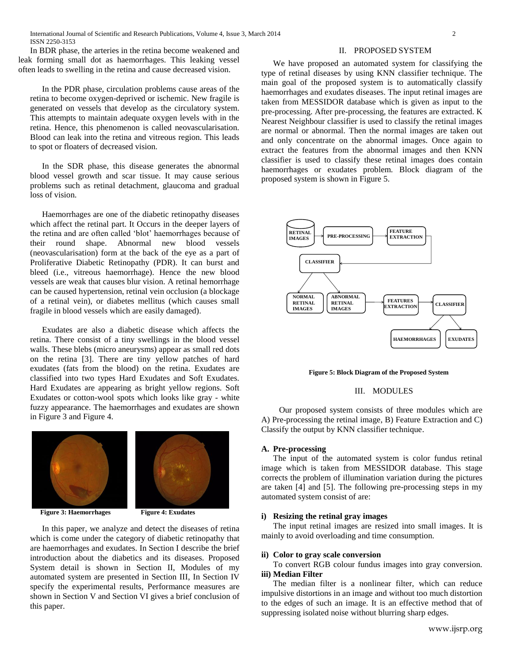In BDR phase, the arteries in the retina become weakened and leak forming small dot as haemorrhages. This leaking vessel often leads to swelling in the retina and cause decreased vision.

In the PDR phase, circulation problems cause areas of the retina to become oxygen-deprived or ischemic. New fragile is generated on vessels that develop as the circulatory system. This attempts to maintain adequate oxygen levels with in the retina. Hence, this phenomenon is called neovascularisation. Blood can leak into the retina and vitreous region. This leads to spot or floaters of decreased vision.

In the SDR phase, this disease generates the abnormal blood vessel growth and scar tissue. It may cause serious problems such as retinal detachment, glaucoma and gradual loss of vision.

Haemorrhages are one of the diabetic retinopathy diseases which affect the retinal part. It Occurs in the deeper layers of the retina and are often called 'blot' haemorrhages because of their round shape. Abnormal new blood vessels (neovascularisation) form at the back of the eye as a part of Proliferative Diabetic Retinopathy (PDR). It can burst and bleed (i.e., vitreous haemorrhage). Hence the new blood vessels are weak that causes blur vision. A retinal hemorrhage can be caused hypertension, retinal vein occlusion (a blockage of a retinal vein), or diabetes mellitus (which causes small fragile in blood vessels which are easily damaged).

Exudates are also a diabetic disease which affects the retina. There consist of a tiny swellings in the blood vessel walls. These blebs (micro aneurysms) appear as small red dots on the retina [3]. There are tiny yellow patches of hard exudates (fats from the blood) on the retina. Exudates are classified into two types Hard Exudates and Soft Exudates. Hard Exudates are appearing as bright yellow regions. Soft Exudates or cotton-wool spots which looks like gray - white fuzzy appearance. The haemorrhages and exudates are shown in Figure 3 and Figure 4.



**Figure 3: Haemorrhages** Figure 4: Exudates

In this paper, we analyze and detect the diseases of retina which is come under the category of diabetic retinopathy that are haemorrhages and exudates. In Section I describe the brief introduction about the diabetics and its diseases. Proposed System detail is shown in Section II, Modules of my automated system are presented in Section III, In Section IV specify the experimental results, Performance measures are shown in Section V and Section VI gives a brief conclusion of this paper.

### II. PROPOSED SYSTEM

We have proposed an automated system for classifying the type of retinal diseases by using KNN classifier technique. The main goal of the proposed system is to automatically classify haemorrhages and exudates diseases. The input retinal images are taken from MESSIDOR database which is given as input to the pre-processing. After pre-processing, the features are extracted. K Nearest Neighbour classifier is used to classify the retinal images are normal or abnormal. Then the normal images are taken out and only concentrate on the abnormal images. Once again to extract the features from the abnormal images and then KNN classifier is used to classify these retinal images does contain haemorrhages or exudates problem. Block diagram of the proposed system is shown in Figure 5.



**Figure 5: Block Diagram of the Proposed System**

#### III. MODULES

Our proposed system consists of three modules which are A) Pre-processing the retinal image, B) Feature Extraction and C) Classify the output by KNN classifier technique.

## **A. Pre-processing**

The input of the automated system is color fundus retinal image which is taken from MESSIDOR database. This stage corrects the problem of illumination variation during the pictures are taken [4] and [5]. The following pre-processing steps in my automated system consist of are:

### **i) Resizing the retinal gray images**

The input retinal images are resized into small images. It is mainly to avoid overloading and time consumption.

#### **ii) Color to gray scale conversion**

To convert RGB colour fundus images into gray conversion. **iii) Median Filter**

The median filter is a nonlinear filter, which can reduce impulsive distortions in an image and without too much distortion to the edges of such an image. It is an effective method that of suppressing isolated noise without blurring sharp edges.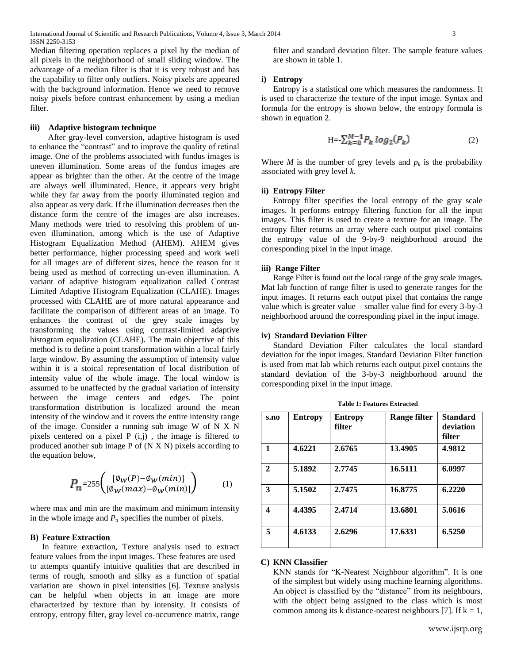Median filtering operation replaces a pixel by the median of all pixels in the neighborhood of small sliding window. The advantage of a median filter is that it is very robust and has the capability to filter only outliers. Noisy pixels are appeared with the background information. Hence we need to remove noisy pixels before contrast enhancement by using a median filter.

## **iii) Adaptive histogram technique**

After gray-level conversion, adaptive histogram is used to enhance the "contrast" and to improve the quality of retinal image. One of the problems associated with fundus images is uneven illumination. Some areas of the fundus images are appear as brighter than the other. At the centre of the image are always well illuminated. Hence, it appears very bright while they far away from the poorly illuminated region and also appear as very dark. If the illumination decreases then the distance form the centre of the images are also increases. Many methods were tried to resolving this problem of uneven illumination, among which is the use of Adaptive Histogram Equalization Method (AHEM). AHEM gives better performance, higher processing speed and work well for all images are of different sizes, hence the reason for it being used as method of correcting un-even illumination. A variant of adaptive histogram equalization called Contrast Limited Adaptive Histogram Equalization (CLAHE). Images processed with CLAHE are of more natural appearance and facilitate the comparison of different areas of an image. To enhances the contrast of the grey scale images by transforming the values using contrast-limited adaptive histogram equalization (CLAHE). The main objective of this method is to define a point transformation within a local fairly large window. By assuming the assumption of intensity value within it is a stoical representation of local distribution of intensity value of the whole image. The local window is assumed to be unaffected by the gradual variation of intensity between the image centers and edges. The point transformation distribution is localized around the mean intensity of the window and it covers the entire intensity range of the image. Consider a running sub image W of N X N pixels centered on a pixel  $P(i,j)$ , the image is filtered to produced another sub image P of (N X N) pixels according to the equation below,

$$
P_n = 255 \left( \frac{\left[ \emptyset_W(P) - \emptyset_W(min) \right]}{\left[ \emptyset_W(max) - \emptyset_W(min) \right]} \right) \tag{1}
$$

where max and min are the maximum and minimum intensity in the whole image and  $P_n$  specifies the number of pixels.

#### **B) Feature Extraction**

In feature extraction, Texture analysis used to extract feature values from the input images. These features are used to attempts quantify intuitive qualities that are described in terms of rough, smooth and silky as a function of spatial variation are shown in pixel intensities [6]. Texture analysis can be helpful when objects in an image are more characterized by texture than by intensity. It consists of entropy, entropy filter, gray level co-occurrence matrix, range

filter and standard deviation filter. The sample feature values are shown in table 1.

# **i) Entropy**

Entropy is a statistical one which measures the randomness. It is used to characterize the texture of the input image. Syntax and formula for the entropy is shown below, the entropy formula is shown in equation 2.

$$
H = \sum_{k=0}^{M-1} P_k \log_2(P_k)
$$
 (2)

Where *M* is the number of grey levels and  $p_k$  is the probability associated with grey level *k*.

#### **ii) Entropy Filter**

Entropy filter specifies the local entropy of the gray scale images. It performs entropy filtering function for all the input images. This filter is used to create a texture for an image. The entropy filter returns an array where each output pixel contains the entropy value of the 9-by-9 neighborhood around the corresponding pixel in the input image.

#### **iii) Range Filter**

Range Filter is found out the local range of the gray scale images. Mat lab function of range filter is used to generate ranges for the input images. It returns each output pixel that contains the range value which is greater value – smaller value find for every 3-by-3 neighborhood around the corresponding pixel in the input image.

# **iv) Standard Deviation Filter**

Standard Deviation Filter calculates the local standard deviation for the input images. Standard Deviation Filter function is used from mat lab which returns each output pixel contains the standard deviation of the 3-by-3 neighborhood around the corresponding pixel in the input image.

| s.no         | <b>Entropy</b> | <b>Entropy</b><br>filter | Range filter | <b>Standard</b><br>deviation<br>filter |
|--------------|----------------|--------------------------|--------------|----------------------------------------|
| 1            | 4.6221         | 2.6765                   | 13.4905      | 4.9812                                 |
| $\mathbf{2}$ | 5.1892         | 2.7745                   | 16.5111      | 6.0997                                 |
| 3            | 5.1502         | 2.7475                   | 16.8775      | 6.2220                                 |
| 4            | 4.4395         | 2.4714                   | 13.6801      | 5.0616                                 |
| 5            | 4.6133         | 2.6296                   | 17.6331      | 6.5250                                 |

**Table 1: Features Extracted**

# **C) KNN Classifier**

KNN stands for "K-Nearest Neighbour algorithm". It is one of the simplest but widely using machine learning algorithms. An object is classified by the "distance" from its neighbours, with the object being assigned to the class which is most common among its k distance-nearest neighbours [7]. If  $k = 1$ ,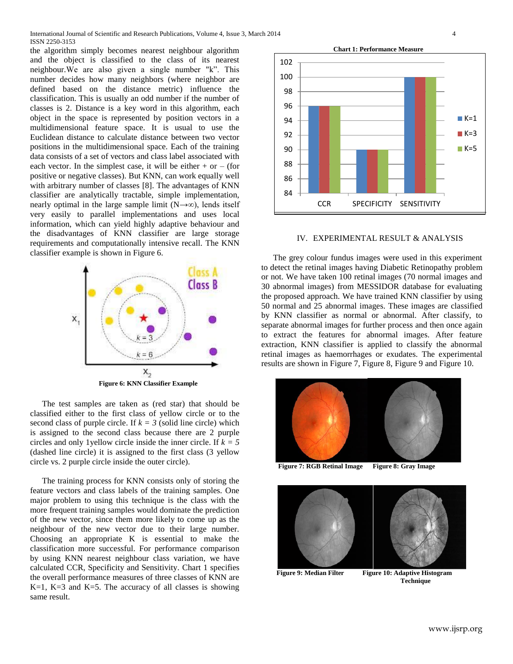the algorithm simply becomes nearest neighbour algorithm and the object is classified to the class of its nearest neighbour.We are also given a single number "k". This number decides how many neighbors (where neighbor are defined based on the distance metric) influence the classification. This is usually an odd number if the number of classes is 2. Distance is a key word in this algorithm, each object in the space is represented by position vectors in a multidimensional feature space. It is usual to use the Euclidean distance to calculate distance between two vector positions in the multidimensional space. Each of the training data consists of a set of vectors and class label associated with each vector. In the simplest case, it will be either  $+$  or  $-$  (for positive or negative classes). But KNN, can work equally well with arbitrary number of classes [8]. The advantages of KNN classifier are analytically tractable, simple implementation, nearly optimal in the large sample limit  $(N \rightarrow \infty)$ , lends itself very easily to parallel implementations and uses local information, which can yield highly adaptive behaviour and the disadvantages of KNN classifier are large storage requirements and computationally intensive recall. The KNN classifier example is shown in Figure 6.



 **Figure 6: KNN Classifier Example**

The test samples are taken as (red star) that should be classified either to the first class of yellow circle or to the second class of purple circle. If  $k = 3$  (solid line circle) which is assigned to the second class because there are 2 purple circles and only 1yellow circle inside the inner circle. If *k = 5* (dashed line circle) it is assigned to the first class (3 yellow circle vs. 2 purple circle inside the outer circle).

The training process for KNN consists only of storing the feature vectors and class labels of the training samples. One major problem to using this technique is the class with the more frequent training samples would dominate the prediction of the new vector, since them more likely to come up as the neighbour of the new vector due to their large number. Choosing an appropriate K is essential to make the classification more successful. For performance comparison by using KNN nearest neighbour class variation, we have calculated CCR, Specificity and Sensitivity. Chart 1 specifies the overall performance measures of three classes of KNN are K=1, K=3 and K=5. The accuracy of all classes is showing same result.



#### IV. EXPERIMENTAL RESULT & ANALYSIS

The grey colour fundus images were used in this experiment to detect the retinal images having Diabetic Retinopathy problem or not. We have taken 100 retinal images (70 normal images and 30 abnormal images) from MESSIDOR database for evaluating the proposed approach. We have trained KNN classifier by using 50 normal and 25 abnormal images. These images are classified by KNN classifier as normal or abnormal. After classify, to separate abnormal images for further process and then once again to extract the features for abnormal images. After feature extraction, KNN classifier is applied to classify the abnormal retinal images as haemorrhages or exudates. The experimental results are shown in Figure 7, Figure 8, Figure 9 and Figure 10.



**Figure 7: RGB Retinal Image Figure 8: Gray Image**



**Figure 9: Median Filter Figure 10: Adaptive Histogram Technique**